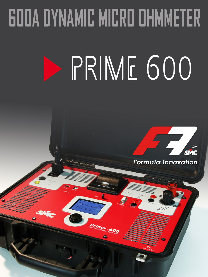## **GOOA DYNAMIC MICRO OHMMETER**

# PRIME 600

**Fime-500** 



**Formula Innovation**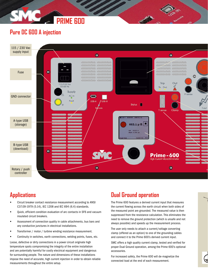## **PRIME 600**

## **Pure DC 600 A injection**



## **Applications**

- Circuit breaker contact resistance measurement according to ANSI C37.09-1979 (5.14), IEC 1208 and IEC 694 (6.4) standards.
- Quick, efficient condition evaluation of arc contacts in SF6 and vacuum insulated circuit breakers.
- Assessment of connection quality in cable attachments, bus bars and any conductive junctures in electrical installations.
- Transformer / motor / turbine winding resistance measurement.
- Continuity in switches, earth connections, welding points, fuses, etc.

Loose, defective or dirty connections in a power circuit originate high temperature spots compromising the integrity of the entire installation and are potentially harmful for costly electrical equipment and dangerous for surrounding people. The nature and dimensions of these installations impose the need of accurate, high current injection in order to obtain reliable measurements throughout the entire setup.

#### **Dual Ground operation**

The Prime 600 features a derived current input that measures the current flowing across the earth circuit when both sides of the measured point are grounded. The measured value is then suppressed from the resistance calculation. This eliminates the need to remove the ground protection (which is unsafe and not always possible) and speeds up the measurement process.

The user only needs to attach a current/voltage converting clamp (offered as an option) to one of the grounding cables and connect it to the Prime 600's derived current input.

SMC offers a high quality current clamp, tested and verified for proper Dual Ground operation, among the Prime 600's optional accessories.

For increased safety, the Prime 600 will de-magnetize the connected load at the end of each measurement.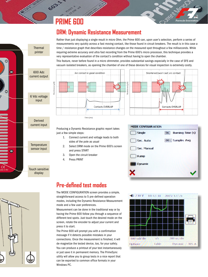## **PRIME 600**

#### **DRM: Dynamic Resistance Measurement**

Rather than just displaying a single result in micro Ohm, the Prime 600 can, upon user's selection, perform a series of measurements very quickly across a fast moving contact, like those found in circuit breakers. The result is in this case a time / resistance graph that describes resistance changes on the measured spot throughout a few milliseconds. While requiring extreme accuracy and ultra fast recording from the Prime 600's micro processor, this technique provides a very representative evaluation of the contact's condition without having to open the chamber.

This feature, never before found in a micro ohmmeter, provides substantial savings especially in the case of SF6 and vacuum isolated breakers, as opening the chamber of one of these devices for visual inspection is extremely costly.



Producing a Dynamic Resistance graphic report takes just a few simple steps:

- 1. Connect current and voltage leads to both sides of the pole as usual
- 2. Select DRM mode on the Prime 600's screen and press START
- 3. Open the circuit breaker
- 4. Press PRINT

#### **MODE CONFIGURATION**



## **Pre-defined test modes**

The MODE CONFIGURATION screen provides a simple, straightforward access to 5 pre-defined operation modes, including the Dynamic Resistance Measurement mode and a few user preferences.

Measurement can be done in the traditional way or by having the Prime 600 follow you through a sequence of different test spots. Just touch the desired mode on the screen, rotate the encoder to adjust your current and press it to start.

The Prime 600 will prompt you with a confirmation message if it detects possible mistakes in your connections. Once the measurement is finished, it will de-magnetize the tested device, too, for your safety. You can produce a printout of your test instantaneously or just save it in permanent memory. The PrimeSync utility will allow you to group tests in a nice report that can be exported to common office formats in your Windows PC.